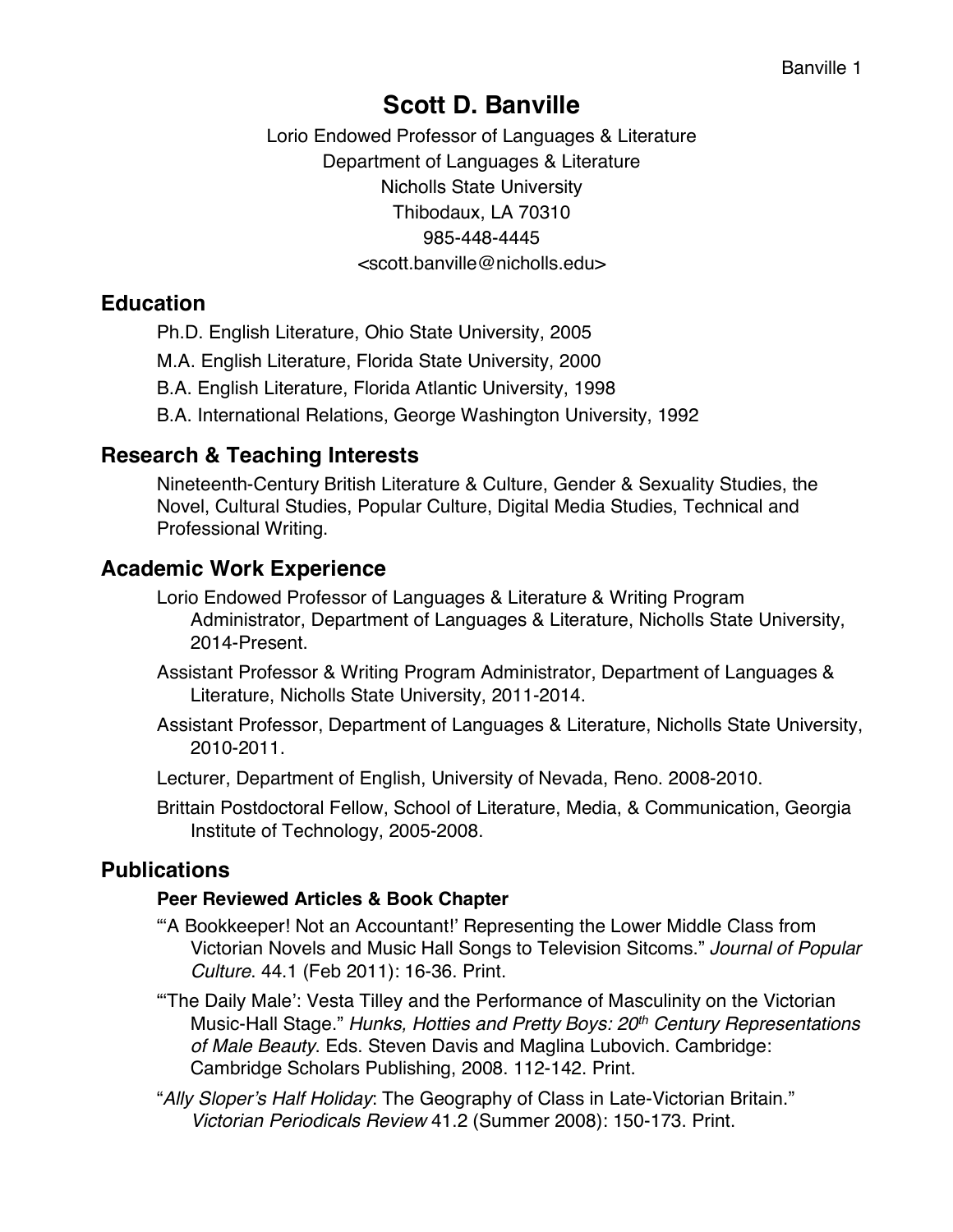# **Scott D. Banville**

Lorio Endowed Professor of Languages & Literature Department of Languages & Literature Nicholls State University Thibodaux, LA 70310 985-448-4445 <scott.banville@nicholls.edu>

## **Education**

Ph.D. English Literature, Ohio State University, 2005 M.A. English Literature, Florida State University, 2000 B.A. English Literature, Florida Atlantic University, 1998 B.A. International Relations, George Washington University, 1992

# **Research & Teaching Interests**

Nineteenth-Century British Literature & Culture, Gender & Sexuality Studies, the Novel, Cultural Studies, Popular Culture, Digital Media Studies, Technical and Professional Writing.

# **Academic Work Experience**

- Lorio Endowed Professor of Languages & Literature & Writing Program Administrator, Department of Languages & Literature, Nicholls State University, 2014-Present.
- Assistant Professor & Writing Program Administrator, Department of Languages & Literature, Nicholls State University, 2011-2014.
- Assistant Professor, Department of Languages & Literature, Nicholls State University, 2010-2011.
- Lecturer, Department of English, University of Nevada, Reno. 2008-2010.
- Brittain Postdoctoral Fellow, School of Literature, Media, & Communication, Georgia Institute of Technology, 2005-2008.

# **Publications**

### **Peer Reviewed Articles & Book Chapter**

- "'A Bookkeeper! Not an Accountant!' Representing the Lower Middle Class from Victorian Novels and Music Hall Songs to Television Sitcoms." *Journal of Popular Culture*. 44.1 (Feb 2011): 16-36. Print.
- "'The Daily Male': Vesta Tilley and the Performance of Masculinity on the Victorian Music-Hall Stage." *Hunks, Hotties and Pretty Boys: 20th Century Representations of Male Beauty*. Eds. Steven Davis and Maglina Lubovich. Cambridge: Cambridge Scholars Publishing, 2008. 112-142. Print.
- "*Ally Sloper's Half Holiday*: The Geography of Class in Late-Victorian Britain." *Victorian Periodicals Review* 41.2 (Summer 2008): 150-173. Print.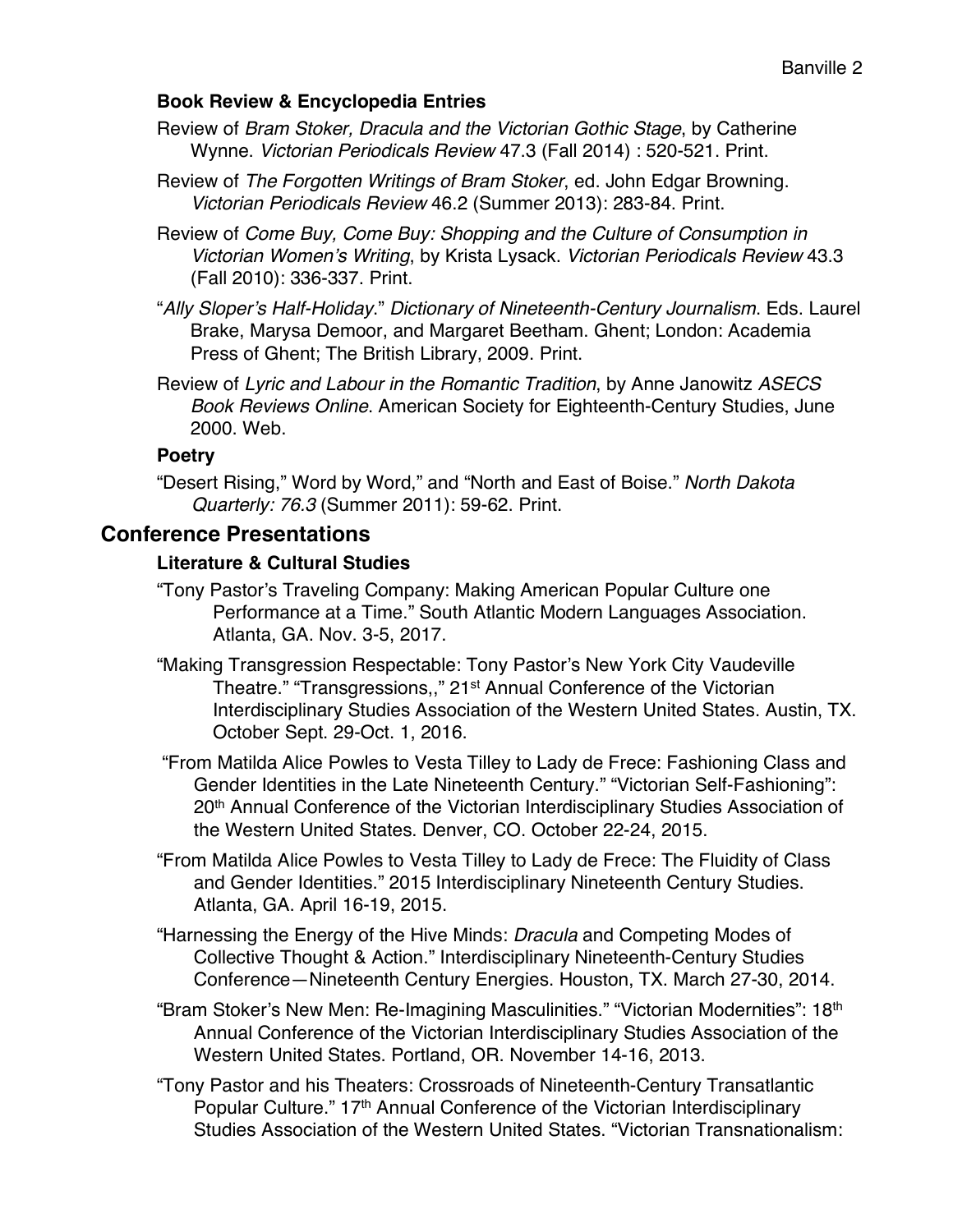#### **Book Review & Encyclopedia Entries**

- Review of *Bram Stoker, Dracula and the Victorian Gothic Stage*, by Catherine Wynne. *Victorian Periodicals Review* 47.3 (Fall 2014) : 520-521. Print.
- Review of *The Forgotten Writings of Bram Stoker*, ed. John Edgar Browning. *Victorian Periodicals Review* 46.2 (Summer 2013): 283-84. Print.
- Review of *Come Buy, Come Buy: Shopping and the Culture of Consumption in Victorian Women's Writing*, by Krista Lysack. *Victorian Periodicals Review* 43.3 (Fall 2010): 336-337. Print.
- "*Ally Sloper's Half-Holiday*." *Dictionary of Nineteenth-Century Journalism*. Eds. Laurel Brake, Marysa Demoor, and Margaret Beetham. Ghent; London: Academia Press of Ghent; The British Library, 2009. Print.
- Review of *Lyric and Labour in the Romantic Tradition*, by Anne Janowitz *ASECS Book Reviews Online*. American Society for Eighteenth-Century Studies, June 2000. Web.

### **Poetry**

"Desert Rising," Word by Word," and "North and East of Boise." *North Dakota Quarterly: 76.3* (Summer 2011): 59-62. Print.

## **Conference Presentations**

### **Literature & Cultural Studies**

- "Tony Pastor's Traveling Company: Making American Popular Culture one Performance at a Time." South Atlantic Modern Languages Association. Atlanta, GA. Nov. 3-5, 2017.
- "Making Transgression Respectable: Tony Pastor's New York City Vaudeville Theatre." "Transgressions,," 21<sup>st</sup> Annual Conference of the Victorian Interdisciplinary Studies Association of the Western United States. Austin, TX. October Sept. 29-Oct. 1, 2016.
- "From Matilda Alice Powles to Vesta Tilley to Lady de Frece: Fashioning Class and Gender Identities in the Late Nineteenth Century." "Victorian Self-Fashioning": 20<sup>th</sup> Annual Conference of the Victorian Interdisciplinary Studies Association of the Western United States. Denver, CO. October 22-24, 2015.
- "From Matilda Alice Powles to Vesta Tilley to Lady de Frece: The Fluidity of Class and Gender Identities." 2015 Interdisciplinary Nineteenth Century Studies. Atlanta, GA. April 16-19, 2015.
- "Harnessing the Energy of the Hive Minds: *Dracula* and Competing Modes of Collective Thought & Action." Interdisciplinary Nineteenth-Century Studies Conference—Nineteenth Century Energies. Houston, TX. March 27-30, 2014.
- "Bram Stoker's New Men: Re-Imagining Masculinities." "Victorian Modernities": 18th Annual Conference of the Victorian Interdisciplinary Studies Association of the Western United States. Portland, OR. November 14-16, 2013.
- "Tony Pastor and his Theaters: Crossroads of Nineteenth-Century Transatlantic Popular Culture." 17<sup>th</sup> Annual Conference of the Victorian Interdisciplinary Studies Association of the Western United States. "Victorian Transnationalism: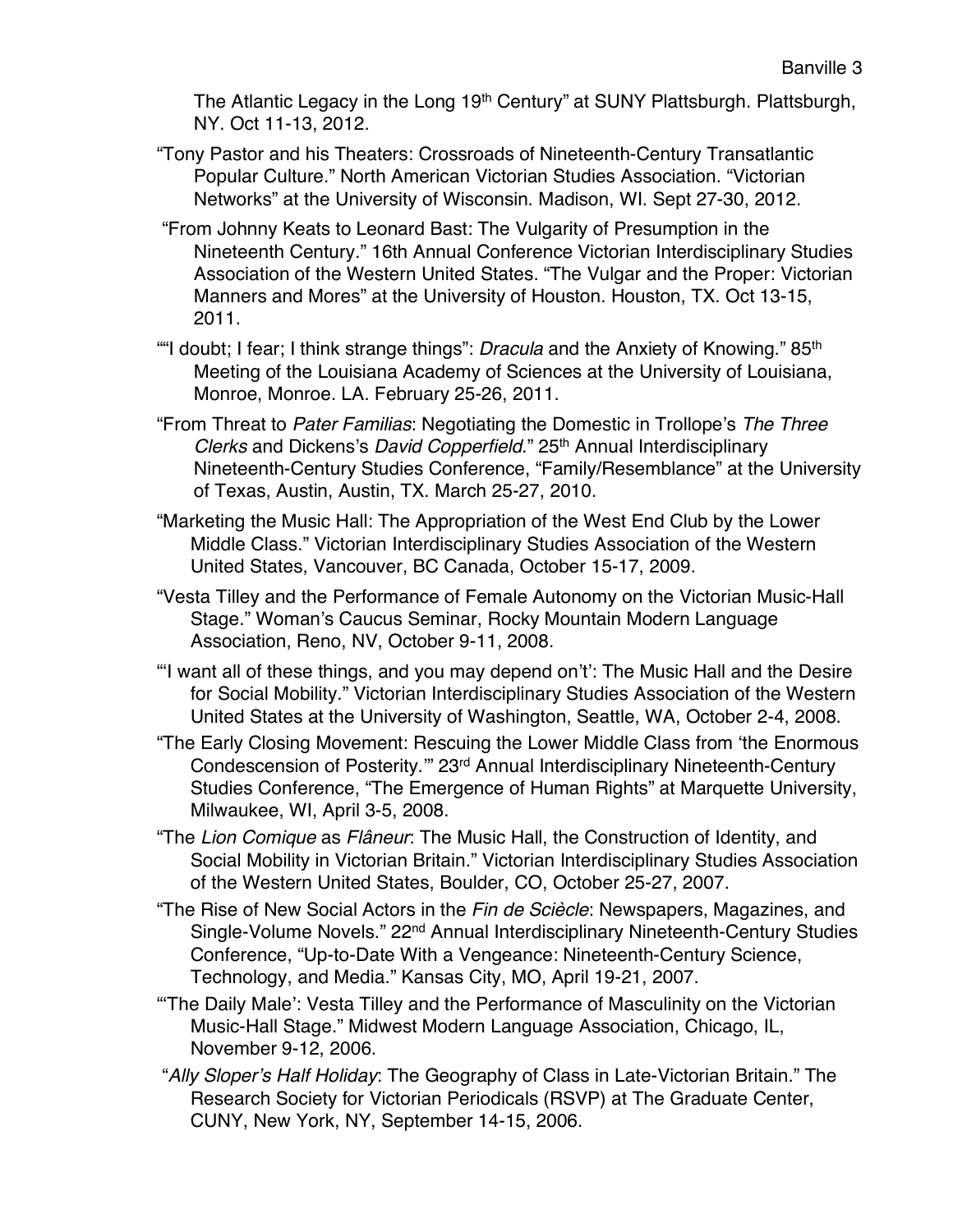The Atlantic Legacy in the Long 19<sup>th</sup> Century" at SUNY Plattsburgh. Plattsburgh, NY. Oct 11-13, 2012.

- "Tony Pastor and his Theaters: Crossroads of Nineteenth-Century Transatlantic Popular Culture." North American Victorian Studies Association. "Victorian Networks" at the University of Wisconsin. Madison, WI. Sept 27-30, 2012.
- "From Johnny Keats to Leonard Bast: The Vulgarity of Presumption in the Nineteenth Century." 16th Annual Conference Victorian Interdisciplinary Studies Association of the Western United States. "The Vulgar and the Proper: Victorian Manners and Mores" at the University of Houston. Houston, TX. Oct 13-15, 2011.
- ""I doubt; I fear; I think strange things": *Dracula* and the Anxiety of Knowing." 85th Meeting of the Louisiana Academy of Sciences at the University of Louisiana, Monroe, Monroe. LA. February 25-26, 2011.
- "From Threat to *Pater Familias*: Negotiating the Domestic in Trollope's *The Three Clerks* and Dickens's *David Copperfield*." 25<sup>th</sup> Annual Interdisciplinary Nineteenth-Century Studies Conference, "Family/Resemblance" at the University of Texas, Austin, Austin, TX. March 25-27, 2010.
- "Marketing the Music Hall: The Appropriation of the West End Club by the Lower Middle Class." Victorian Interdisciplinary Studies Association of the Western United States, Vancouver, BC Canada, October 15-17, 2009.
- "Vesta Tilley and the Performance of Female Autonomy on the Victorian Music-Hall Stage." Woman's Caucus Seminar, Rocky Mountain Modern Language Association, Reno, NV, October 9-11, 2008.
- "'I want all of these things, and you may depend on't': The Music Hall and the Desire for Social Mobility." Victorian Interdisciplinary Studies Association of the Western United States at the University of Washington, Seattle, WA, October 2-4, 2008.
- "The Early Closing Movement: Rescuing the Lower Middle Class from 'the Enormous Condescension of Posterity.'" 23rd Annual Interdisciplinary Nineteenth-Century Studies Conference, "The Emergence of Human Rights" at Marquette University, Milwaukee, WI, April 3-5, 2008.
- "The *Lion Comique* as *Flâneur*: The Music Hall, the Construction of Identity, and Social Mobility in Victorian Britain." Victorian Interdisciplinary Studies Association of the Western United States, Boulder, CO, October 25-27, 2007.
- "The Rise of New Social Actors in the *Fin de Sciècle*: Newspapers, Magazines, and Single-Volume Novels." 22nd Annual Interdisciplinary Nineteenth-Century Studies Conference, "Up-to-Date With a Vengeance: Nineteenth-Century Science, Technology, and Media." Kansas City, MO, April 19-21, 2007.
- "'The Daily Male': Vesta Tilley and the Performance of Masculinity on the Victorian Music-Hall Stage." Midwest Modern Language Association, Chicago, IL, November 9-12, 2006.
- "*Ally Sloper's Half Holiday*: The Geography of Class in Late-Victorian Britain." The Research Society for Victorian Periodicals (RSVP) at The Graduate Center, CUNY, New York, NY, September 14-15, 2006.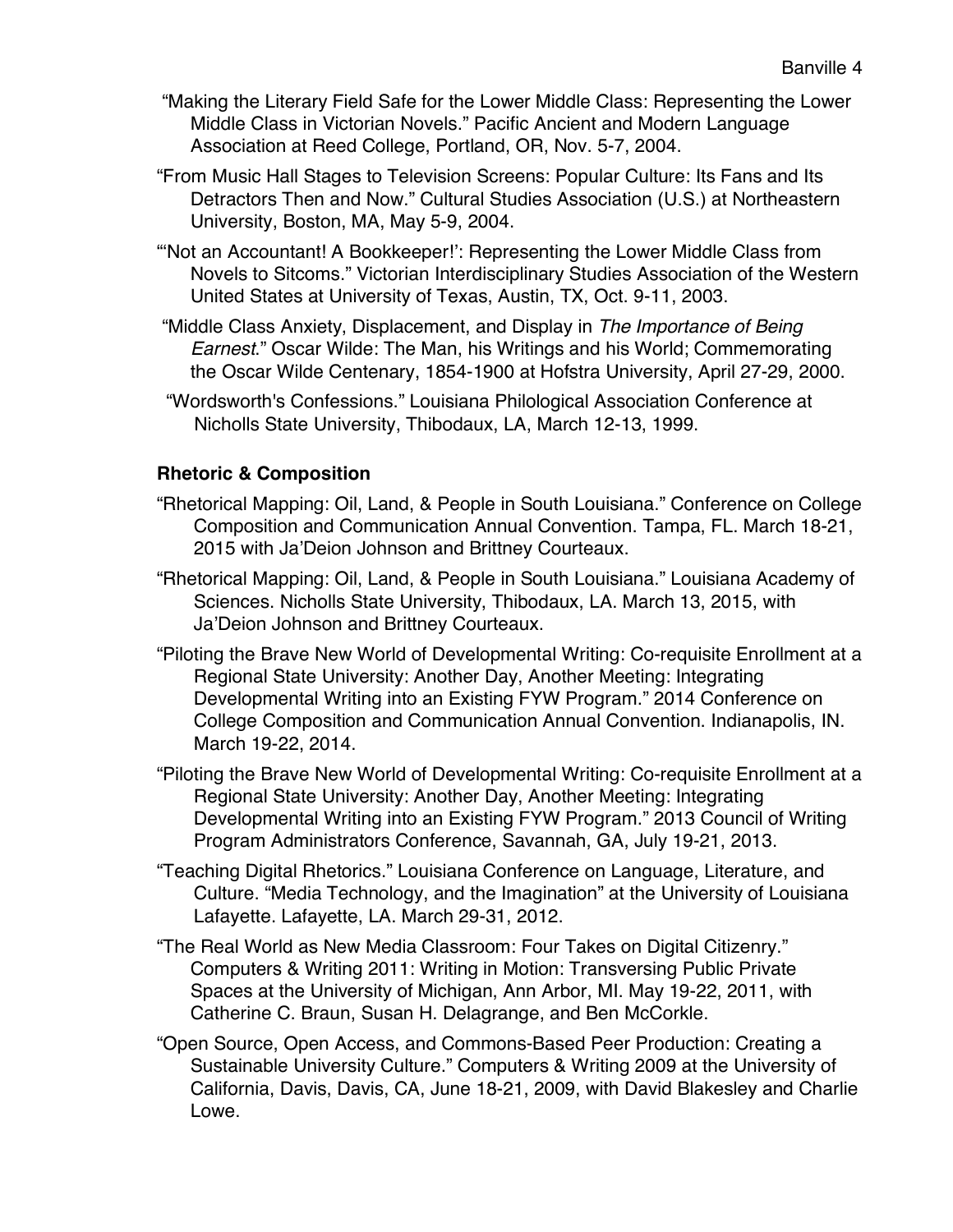- "Making the Literary Field Safe for the Lower Middle Class: Representing the Lower Middle Class in Victorian Novels." Pacific Ancient and Modern Language Association at Reed College, Portland, OR, Nov. 5-7, 2004.
- "From Music Hall Stages to Television Screens: Popular Culture: Its Fans and Its Detractors Then and Now." Cultural Studies Association (U.S.) at Northeastern University, Boston, MA, May 5-9, 2004.
- "'Not an Accountant! A Bookkeeper!': Representing the Lower Middle Class from Novels to Sitcoms." Victorian Interdisciplinary Studies Association of the Western United States at University of Texas, Austin, TX, Oct. 9-11, 2003.
- "Middle Class Anxiety, Displacement, and Display in *The Importance of Being Earnest*." Oscar Wilde: The Man, his Writings and his World; Commemorating the Oscar Wilde Centenary, 1854-1900 at Hofstra University, April 27-29, 2000.
- "Wordsworth's Confessions." Louisiana Philological Association Conference at Nicholls State University, Thibodaux, LA, March 12-13, 1999.

### **Rhetoric & Composition**

- "Rhetorical Mapping: Oil, Land, & People in South Louisiana." Conference on College Composition and Communication Annual Convention. Tampa, FL. March 18-21, 2015 with Ja'Deion Johnson and Brittney Courteaux.
- "Rhetorical Mapping: Oil, Land, & People in South Louisiana." Louisiana Academy of Sciences. Nicholls State University, Thibodaux, LA. March 13, 2015, with Ja'Deion Johnson and Brittney Courteaux.
- "Piloting the Brave New World of Developmental Writing: Co-requisite Enrollment at a Regional State University: Another Day, Another Meeting: Integrating Developmental Writing into an Existing FYW Program." 2014 Conference on College Composition and Communication Annual Convention. Indianapolis, IN. March 19-22, 2014.
- "Piloting the Brave New World of Developmental Writing: Co-requisite Enrollment at a Regional State University: Another Day, Another Meeting: Integrating Developmental Writing into an Existing FYW Program." 2013 Council of Writing Program Administrators Conference, Savannah, GA, July 19-21, 2013.
- "Teaching Digital Rhetorics." Louisiana Conference on Language, Literature, and Culture. "Media Technology, and the Imagination" at the University of Louisiana Lafayette. Lafayette, LA. March 29-31, 2012.
- "The Real World as New Media Classroom: Four Takes on Digital Citizenry." Computers & Writing 2011: Writing in Motion: Transversing Public Private Spaces at the University of Michigan, Ann Arbor, MI. May 19-22, 2011, with Catherine C. Braun, Susan H. Delagrange, and Ben McCorkle.
- "Open Source, Open Access, and Commons-Based Peer Production: Creating a Sustainable University Culture." Computers & Writing 2009 at the University of California, Davis, Davis, CA, June 18-21, 2009, with David Blakesley and Charlie Lowe.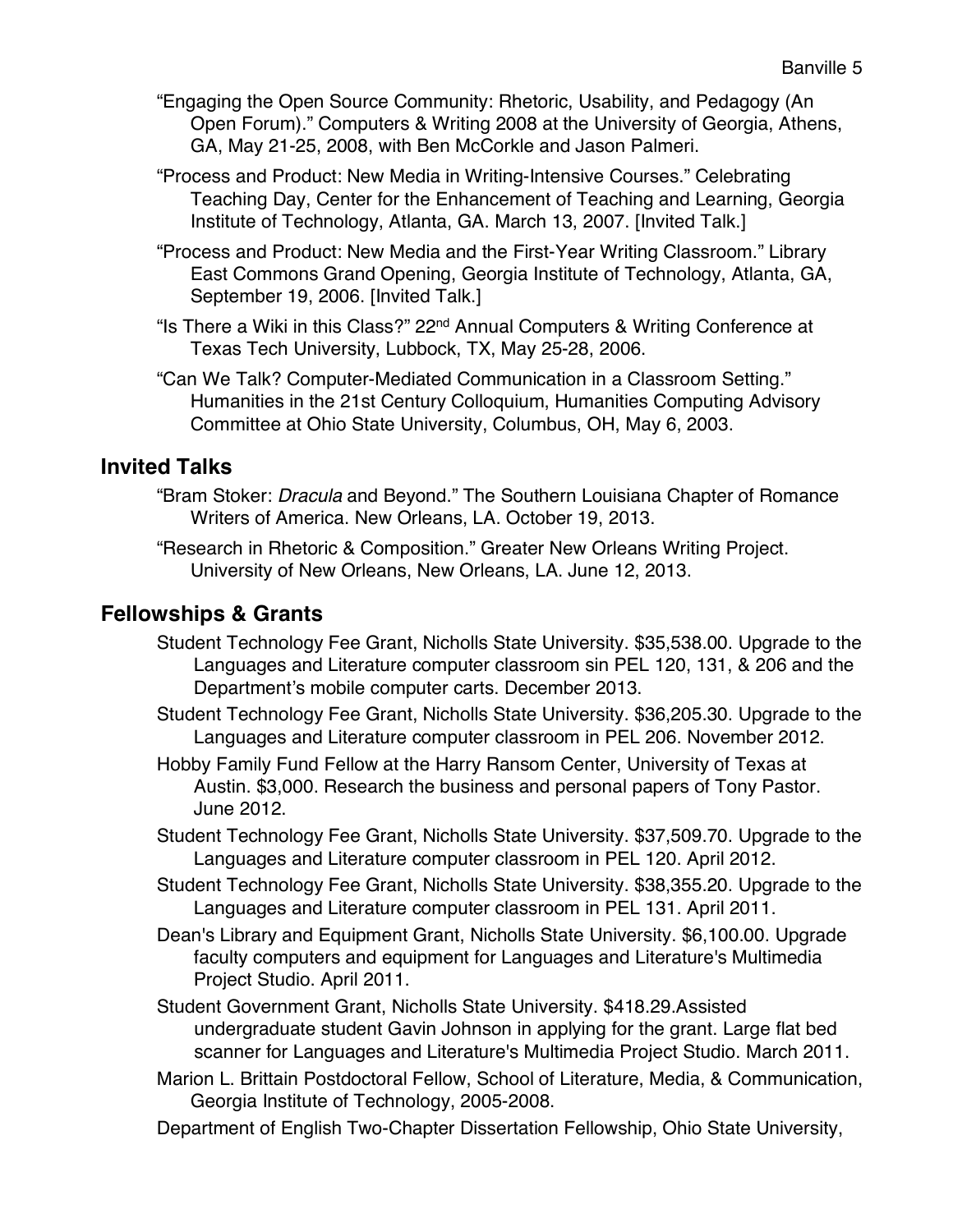- "Engaging the Open Source Community: Rhetoric, Usability, and Pedagogy (An Open Forum)." Computers & Writing 2008 at the University of Georgia, Athens, GA, May 21-25, 2008, with Ben McCorkle and Jason Palmeri.
- "Process and Product: New Media in Writing-Intensive Courses." Celebrating Teaching Day, Center for the Enhancement of Teaching and Learning, Georgia Institute of Technology, Atlanta, GA. March 13, 2007. [Invited Talk.]
- "Process and Product: New Media and the First-Year Writing Classroom." Library East Commons Grand Opening, Georgia Institute of Technology, Atlanta, GA, September 19, 2006. [Invited Talk.]
- "Is There a Wiki in this Class?" 22nd Annual Computers & Writing Conference at Texas Tech University, Lubbock, TX, May 25-28, 2006.
- "Can We Talk? Computer-Mediated Communication in a Classroom Setting." Humanities in the 21st Century Colloquium, Humanities Computing Advisory Committee at Ohio State University, Columbus, OH, May 6, 2003.

# **Invited Talks**

- "Bram Stoker: *Dracula* and Beyond." The Southern Louisiana Chapter of Romance Writers of America. New Orleans, LA. October 19, 2013.
- "Research in Rhetoric & Composition." Greater New Orleans Writing Project. University of New Orleans, New Orleans, LA. June 12, 2013.

# **Fellowships & Grants**

- Student Technology Fee Grant, Nicholls State University. \$35,538.00. Upgrade to the Languages and Literature computer classroom sin PEL 120, 131, & 206 and the Department's mobile computer carts. December 2013.
- Student Technology Fee Grant, Nicholls State University. \$36,205.30. Upgrade to the Languages and Literature computer classroom in PEL 206. November 2012.
- Hobby Family Fund Fellow at the Harry Ransom Center, University of Texas at Austin. \$3,000. Research the business and personal papers of Tony Pastor. June 2012.
- Student Technology Fee Grant, Nicholls State University. \$37,509.70. Upgrade to the Languages and Literature computer classroom in PEL 120. April 2012.
- Student Technology Fee Grant, Nicholls State University. \$38,355.20. Upgrade to the Languages and Literature computer classroom in PEL 131. April 2011.
- Dean's Library and Equipment Grant, Nicholls State University. \$6,100.00. Upgrade faculty computers and equipment for Languages and Literature's Multimedia Project Studio. April 2011.
- Student Government Grant, Nicholls State University. \$418.29.Assisted undergraduate student Gavin Johnson in applying for the grant. Large flat bed scanner for Languages and Literature's Multimedia Project Studio. March 2011.
- Marion L. Brittain Postdoctoral Fellow, School of Literature, Media, & Communication, Georgia Institute of Technology, 2005-2008.
- Department of English Two-Chapter Dissertation Fellowship, Ohio State University,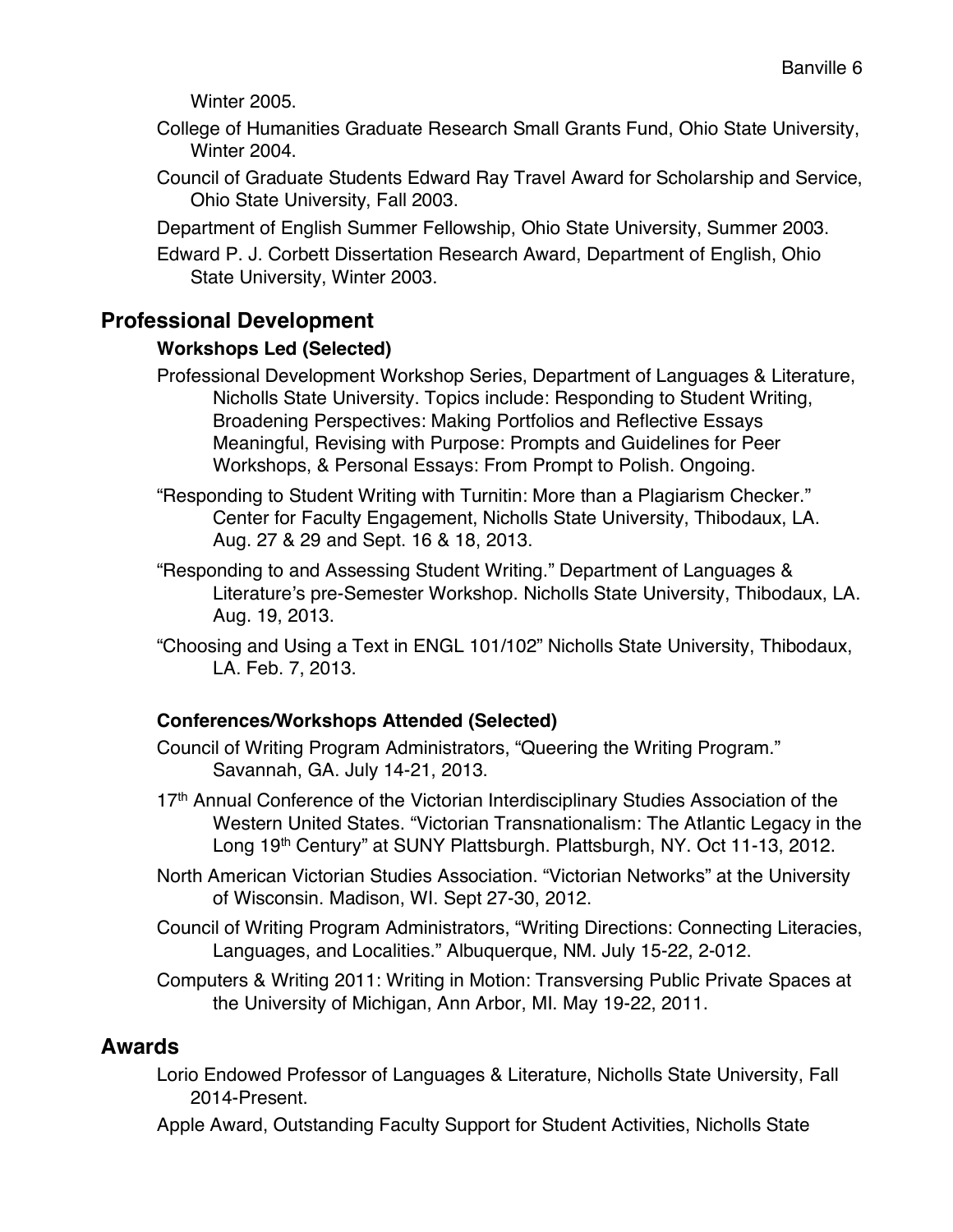Winter 2005.

- College of Humanities Graduate Research Small Grants Fund, Ohio State University, Winter 2004.
- Council of Graduate Students Edward Ray Travel Award for Scholarship and Service, Ohio State University, Fall 2003.
- Department of English Summer Fellowship, Ohio State University, Summer 2003.
- Edward P. J. Corbett Dissertation Research Award, Department of English, Ohio State University, Winter 2003.

# **Professional Development**

#### **Workshops Led (Selected)**

- Professional Development Workshop Series, Department of Languages & Literature, Nicholls State University. Topics include: Responding to Student Writing, Broadening Perspectives: Making Portfolios and Reflective Essays Meaningful, Revising with Purpose: Prompts and Guidelines for Peer Workshops, & Personal Essays: From Prompt to Polish. Ongoing.
- "Responding to Student Writing with Turnitin: More than a Plagiarism Checker." Center for Faculty Engagement, Nicholls State University, Thibodaux, LA. Aug. 27 & 29 and Sept. 16 & 18, 2013.
- "Responding to and Assessing Student Writing." Department of Languages & Literature's pre-Semester Workshop. Nicholls State University, Thibodaux, LA. Aug. 19, 2013.
- "Choosing and Using a Text in ENGL 101/102" Nicholls State University, Thibodaux, LA. Feb. 7, 2013.

### **Conferences/Workshops Attended (Selected)**

- Council of Writing Program Administrators, "Queering the Writing Program." Savannah, GA. July 14-21, 2013.
- 17th Annual Conference of the Victorian Interdisciplinary Studies Association of the Western United States. "Victorian Transnationalism: The Atlantic Legacy in the Long 19<sup>th</sup> Century" at SUNY Plattsburgh. Plattsburgh, NY. Oct 11-13, 2012.
- North American Victorian Studies Association. "Victorian Networks" at the University of Wisconsin. Madison, WI. Sept 27-30, 2012.
- Council of Writing Program Administrators, "Writing Directions: Connecting Literacies, Languages, and Localities." Albuquerque, NM. July 15-22, 2-012.
- Computers & Writing 2011: Writing in Motion: Transversing Public Private Spaces at the University of Michigan, Ann Arbor, MI. May 19-22, 2011.

## **Awards**

- Lorio Endowed Professor of Languages & Literature, Nicholls State University, Fall 2014-Present.
- Apple Award, Outstanding Faculty Support for Student Activities, Nicholls State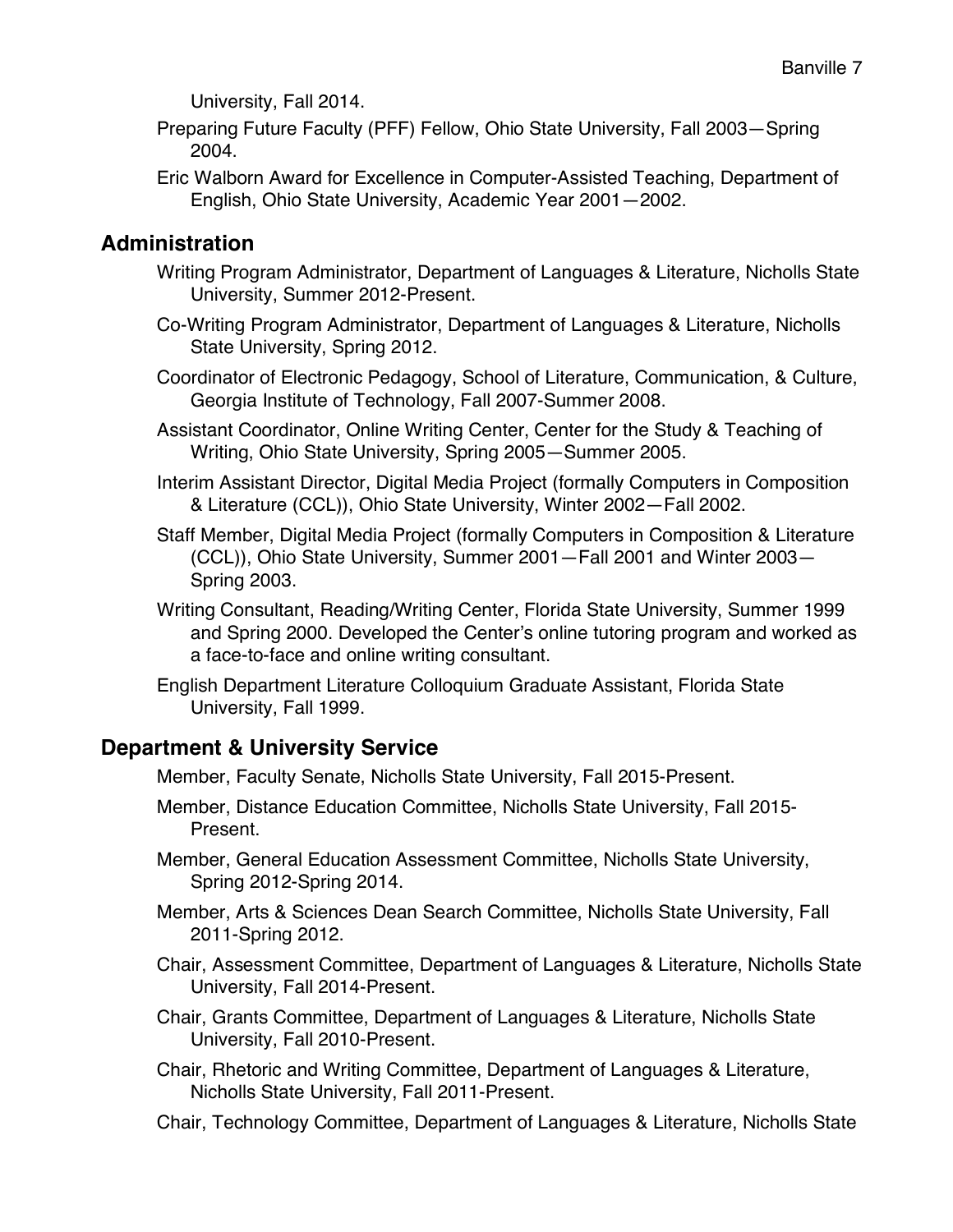University, Fall 2014.

- Preparing Future Faculty (PFF) Fellow, Ohio State University, Fall 2003—Spring 2004.
- Eric Walborn Award for Excellence in Computer-Assisted Teaching, Department of English, Ohio State University, Academic Year 2001—2002.

# **Administration**

- Writing Program Administrator, Department of Languages & Literature, Nicholls State University, Summer 2012-Present.
- Co-Writing Program Administrator, Department of Languages & Literature, Nicholls State University, Spring 2012.
- Coordinator of Electronic Pedagogy, School of Literature, Communication, & Culture, Georgia Institute of Technology, Fall 2007-Summer 2008.
- Assistant Coordinator, Online Writing Center, Center for the Study & Teaching of Writing, Ohio State University, Spring 2005—Summer 2005.
- Interim Assistant Director, Digital Media Project (formally Computers in Composition & Literature (CCL)), Ohio State University, Winter 2002—Fall 2002.
- Staff Member, Digital Media Project (formally Computers in Composition & Literature (CCL)), Ohio State University, Summer 2001—Fall 2001 and Winter 2003— Spring 2003.
- Writing Consultant, Reading/Writing Center, Florida State University, Summer 1999 and Spring 2000. Developed the Center's online tutoring program and worked as a face-to-face and online writing consultant.
- English Department Literature Colloquium Graduate Assistant, Florida State University, Fall 1999.

# **Department & University Service**

Member, Faculty Senate, Nicholls State University, Fall 2015-Present.

- Member, Distance Education Committee, Nicholls State University, Fall 2015- Present.
- Member, General Education Assessment Committee, Nicholls State University, Spring 2012-Spring 2014.
- Member, Arts & Sciences Dean Search Committee, Nicholls State University, Fall 2011-Spring 2012.
- Chair, Assessment Committee, Department of Languages & Literature, Nicholls State University, Fall 2014-Present.
- Chair, Grants Committee, Department of Languages & Literature, Nicholls State University, Fall 2010-Present.
- Chair, Rhetoric and Writing Committee, Department of Languages & Literature, Nicholls State University, Fall 2011-Present.
- Chair, Technology Committee, Department of Languages & Literature, Nicholls State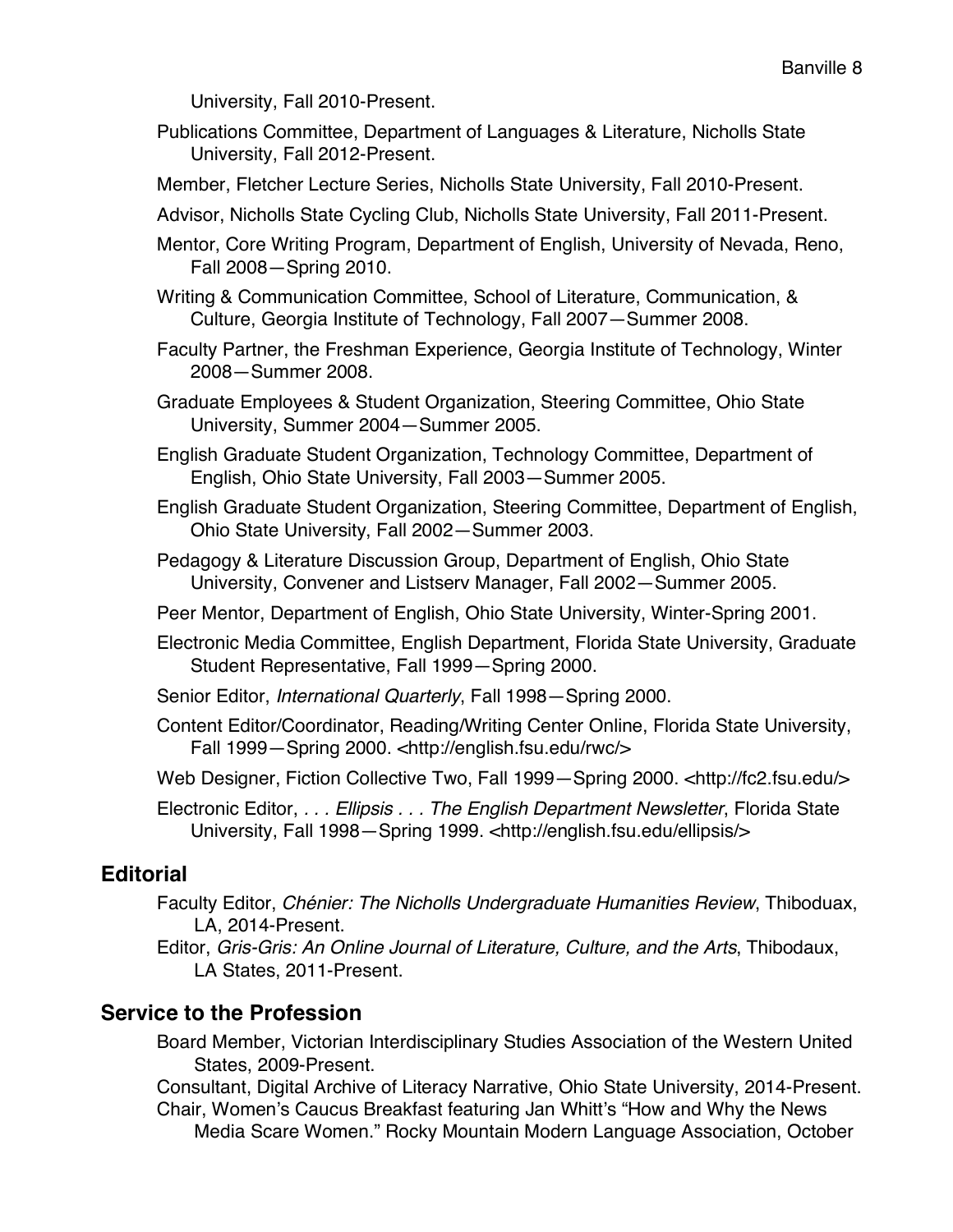University, Fall 2010-Present.

- Publications Committee, Department of Languages & Literature, Nicholls State University, Fall 2012-Present.
- Member, Fletcher Lecture Series, Nicholls State University, Fall 2010-Present.
- Advisor, Nicholls State Cycling Club, Nicholls State University, Fall 2011-Present.
- Mentor, Core Writing Program, Department of English, University of Nevada, Reno, Fall 2008—Spring 2010.
- Writing & Communication Committee, School of Literature, Communication, & Culture, Georgia Institute of Technology, Fall 2007—Summer 2008.
- Faculty Partner, the Freshman Experience, Georgia Institute of Technology, Winter 2008—Summer 2008.
- Graduate Employees & Student Organization, Steering Committee, Ohio State University, Summer 2004—Summer 2005.
- English Graduate Student Organization, Technology Committee, Department of English, Ohio State University, Fall 2003—Summer 2005.
- English Graduate Student Organization, Steering Committee, Department of English, Ohio State University, Fall 2002—Summer 2003.
- Pedagogy & Literature Discussion Group, Department of English, Ohio State University, Convener and Listserv Manager, Fall 2002—Summer 2005.
- Peer Mentor, Department of English, Ohio State University, Winter-Spring 2001.
- Electronic Media Committee, English Department, Florida State University, Graduate Student Representative, Fall 1999—Spring 2000.
- Senior Editor, *International Quarterly*, Fall 1998—Spring 2000.
- Content Editor/Coordinator, Reading/Writing Center Online, Florida State University, Fall 1999—Spring 2000. <http://english.fsu.edu/rwc/>
- Web Designer, Fiction Collective Two, Fall 1999–Spring 2000. <http://fc2.fsu.edu/>

Electronic Editor, *. . . Ellipsis . . . The English Department Newsletter*, Florida State University, Fall 1998—Spring 1999. <http://english.fsu.edu/ellipsis/>

## **Editorial**

- Faculty Editor, *Chénier: The Nicholls Undergraduate Humanities Review*, Thiboduax, LA, 2014-Present.
- Editor, *Gris-Gris: An Online Journal of Literature, Culture, and the Arts*, Thibodaux, LA States, 2011-Present.

## **Service to the Profession**

Board Member, Victorian Interdisciplinary Studies Association of the Western United States, 2009-Present.

Consultant, Digital Archive of Literacy Narrative, Ohio State University, 2014-Present. Chair, Women's Caucus Breakfast featuring Jan Whitt's "How and Why the News Media Scare Women." Rocky Mountain Modern Language Association, October